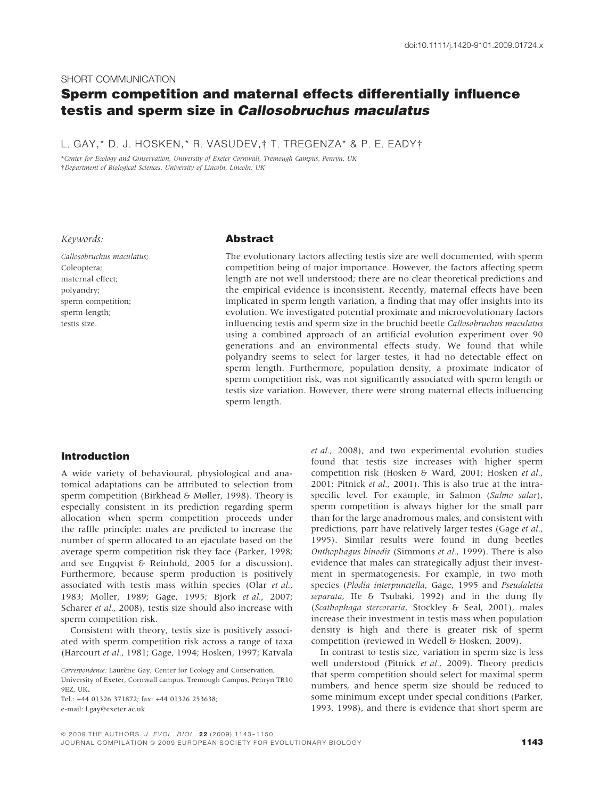#### SHORT COMMUNICATION

# Sperm competition and maternal effects differentially influence testis and sperm size in Callosobruchus maculatus

L. GAY,\* D. J. HOSKEN,\* R. VASUDEV,† T. TREGENZA\* & P. E. EADY†

\*Center for Ecology and Conservation, University of Exeter Cornwall, Tremough Campus, Penryn, UK -Department of Biological Sciences, University of Lincoln, Lincoln, UK

Keywords:

Callosobruchus maculatus; Coleoptera; maternal effect; polyandry; sperm competition; sperm length; testis size.

## Abstract

The evolutionary factors affecting testis size are well documented, with sperm competition being of major importance. However, the factors affecting sperm length are not well understood; there are no clear theoretical predictions and the empirical evidence is inconsistent. Recently, maternal effects have been implicated in sperm length variation, a finding that may offer insights into its evolution. We investigated potential proximate and microevolutionary factors influencing testis and sperm size in the bruchid beetle Callosobruchus maculatus using a combined approach of an artificial evolution experiment over 90 generations and an environmental effects study. We found that while polyandry seems to select for larger testes, it had no detectable effect on sperm length. Furthermore, population density, a proximate indicator of sperm competition risk, was not significantly associated with sperm length or testis size variation. However, there were strong maternal effects influencing sperm length.

## Introduction

A wide variety of behavioural, physiological and anatomical adaptations can be attributed to selection from sperm competition (Birkhead & Møller, 1998). Theory is especially consistent in its prediction regarding sperm allocation when sperm competition proceeds under the raffle principle: males are predicted to increase the number of sperm allocated to an ejaculate based on the average sperm competition risk they face (Parker, 1998; and see Engqvist & Reinhold, 2005 for a discussion). Furthermore, because sperm production is positively associated with testis mass within species (Olar et al., 1983; Moller, 1989; Gage, 1995; Bjork et al., 2007; Scharer et al., 2008), testis size should also increase with sperm competition risk.

Consistent with theory, testis size is positively associated with sperm competition risk across a range of taxa (Harcourt et al., 1981; Gage, 1994; Hosken, 1997; Katvala

Tel.: +44 01326 371872; fax: +44 01326 253638; e-mail: l.gay@exeter.ac.uk

et al., 2008), and two experimental evolution studies found that testis size increases with higher sperm competition risk (Hosken & Ward, 2001; Hosken et al., 2001; Pitnick et al., 2001). This is also true at the intraspecific level. For example, in Salmon (Salmo salar), sperm competition is always higher for the small parr than for the large anadromous males, and consistent with predictions, parr have relatively larger testes (Gage et al., 1995). Similar results were found in dung beetles Onthophagus binodis (Simmons et al., 1999). There is also evidence that males can strategically adjust their investment in spermatogenesis. For example, in two moth species (Plodia interpunctella, Gage, 1995 and Pseudaletia separata, He & Tsubaki, 1992) and in the dung fly (Scathophaga stercoraria, Stockley & Seal, 2001), males increase their investment in testis mass when population density is high and there is greater risk of sperm competition (reviewed in Wedell & Hosken, 2009).

In contrast to testis size, variation in sperm size is less well understood (Pitnick et al., 2009). Theory predicts that sperm competition should select for maximal sperm numbers, and hence sperm size should be reduced to some minimum except under special conditions (Parker, 1993, 1998), and there is evidence that short sperm are

Correspondence: Laurène Gay, Center for Ecology and Conservation, University of Exeter, Cornwall campus, Tremough Campus, Penryn TR10 9EZ, UK.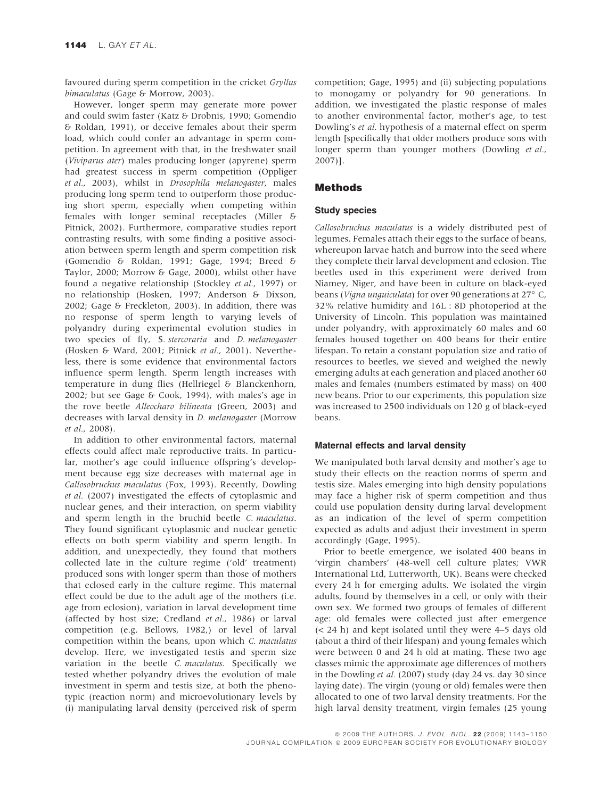favoured during sperm competition in the cricket Gryllus bimaculatus (Gage & Morrow, 2003).

However, longer sperm may generate more power and could swim faster (Katz & Drobnis, 1990; Gomendio & Roldan, 1991), or deceive females about their sperm load, which could confer an advantage in sperm competition. In agreement with that, in the freshwater snail (Viviparus ater) males producing longer (apyrene) sperm had greatest success in sperm competition (Oppliger et al., 2003), whilst in Drosophila melanogaster, males producing long sperm tend to outperform those producing short sperm, especially when competing within females with longer seminal receptacles (Miller & Pitnick, 2002). Furthermore, comparative studies report contrasting results, with some finding a positive association between sperm length and sperm competition risk (Gomendio & Roldan, 1991; Gage, 1994; Breed & Taylor, 2000; Morrow & Gage, 2000), whilst other have found a negative relationship (Stockley et al., 1997) or no relationship (Hosken, 1997; Anderson & Dixson, 2002; Gage & Freckleton, 2003). In addition, there was no response of sperm length to varying levels of polyandry during experimental evolution studies in two species of fly, S. stercoraria and D. melanogaster (Hosken & Ward, 2001; Pitnick et al., 2001). Nevertheless, there is some evidence that environmental factors influence sperm length. Sperm length increases with temperature in dung flies (Hellriegel & Blanckenhorn, 2002; but see Gage & Cook, 1994), with males's age in the rove beetle Alleocharo bilineata (Green, 2003) and decreases with larval density in *D. melanogaster* (Morrow et al., 2008).

In addition to other environmental factors, maternal effects could affect male reproductive traits. In particular, mother's age could influence offspring's development because egg size decreases with maternal age in Callosobruchus maculatus (Fox, 1993). Recently, Dowling et al. (2007) investigated the effects of cytoplasmic and nuclear genes, and their interaction, on sperm viability and sperm length in the bruchid beetle C. maculatus. They found significant cytoplasmic and nuclear genetic effects on both sperm viability and sperm length. In addition, and unexpectedly, they found that mothers collected late in the culture regime ('old' treatment) produced sons with longer sperm than those of mothers that eclosed early in the culture regime. This maternal effect could be due to the adult age of the mothers (i.e. age from eclosion), variation in larval development time (affected by host size; Credland et al., 1986) or larval competition (e.g. Bellows, 1982,) or level of larval competition within the beans, upon which C. maculatus develop. Here, we investigated testis and sperm size variation in the beetle C. maculatus. Specifically we tested whether polyandry drives the evolution of male investment in sperm and testis size, at both the phenotypic (reaction norm) and microevolutionary levels by (i) manipulating larval density (perceived risk of sperm competition; Gage, 1995) and (ii) subjecting populations to monogamy or polyandry for 90 generations. In addition, we investigated the plastic response of males to another environmental factor, mother's age, to test Dowling's et al. hypothesis of a maternal effect on sperm length [specifically that older mothers produce sons with longer sperm than younger mothers (Dowling et al., 2007)].

## Methods

## Study species

Callosobruchus maculatus is a widely distributed pest of legumes. Females attach their eggs to the surface of beans, whereupon larvae hatch and burrow into the seed where they complete their larval development and eclosion. The beetles used in this experiment were derived from Niamey, Niger, and have been in culture on black-eyed beans (Vigna unguiculata) for over 90 generations at 27° C, 32% relative humidity and 16L : 8D photoperiod at the University of Lincoln. This population was maintained under polyandry, with approximately 60 males and 60 females housed together on 400 beans for their entire lifespan. To retain a constant population size and ratio of resources to beetles, we sieved and weighed the newly emerging adults at each generation and placed another 60 males and females (numbers estimated by mass) on 400 new beans. Prior to our experiments, this population size was increased to 2500 individuals on 120 g of black-eyed beans.

## Maternal effects and larval density

We manipulated both larval density and mother's age to study their effects on the reaction norms of sperm and testis size. Males emerging into high density populations may face a higher risk of sperm competition and thus could use population density during larval development as an indication of the level of sperm competition expected as adults and adjust their investment in sperm accordingly (Gage, 1995).

Prior to beetle emergence, we isolated 400 beans in 'virgin chambers' (48-well cell culture plates; VWR International Ltd, Lutterworth, UK). Beans were checked every 24 h for emerging adults. We isolated the virgin adults, found by themselves in a cell, or only with their own sex. We formed two groups of females of different age: old females were collected just after emergence (< 24 h) and kept isolated until they were 4–5 days old (about a third of their lifespan) and young females which were between 0 and 24 h old at mating. These two age classes mimic the approximate age differences of mothers in the Dowling et al. (2007) study (day 24 vs. day 30 since laying date). The virgin (young or old) females were then allocated to one of two larval density treatments. For the high larval density treatment, virgin females (25 young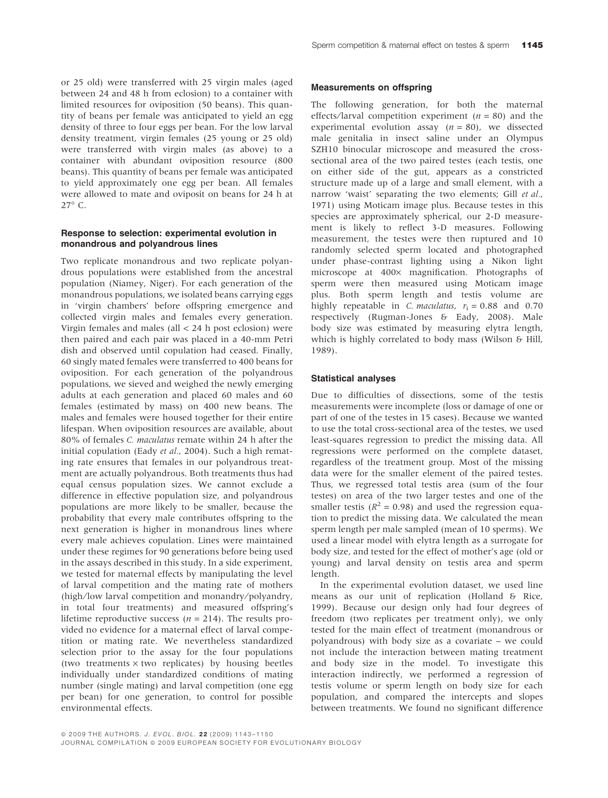or 25 old) were transferred with 25 virgin males (aged between 24 and 48 h from eclosion) to a container with limited resources for oviposition (50 beans). This quantity of beans per female was anticipated to yield an egg density of three to four eggs per bean. For the low larval density treatment, virgin females (25 young or 25 old) were transferred with virgin males (as above) to a container with abundant oviposition resource (800 beans). This quantity of beans per female was anticipated to yield approximately one egg per bean. All females were allowed to mate and oviposit on beans for 24 h at  $27^{\circ}$  C.

## Response to selection: experimental evolution in monandrous and polyandrous lines

Two replicate monandrous and two replicate polyandrous populations were established from the ancestral population (Niamey, Niger). For each generation of the monandrous populations, we isolated beans carrying eggs in 'virgin chambers' before offspring emergence and collected virgin males and females every generation. Virgin females and males (all < 24 h post eclosion) were then paired and each pair was placed in a 40-mm Petri dish and observed until copulation had ceased. Finally, 60 singly mated females were transferred to 400 beans for oviposition. For each generation of the polyandrous populations, we sieved and weighed the newly emerging adults at each generation and placed 60 males and 60 females (estimated by mass) on 400 new beans. The males and females were housed together for their entire lifespan. When oviposition resources are available, about 80% of females C. maculatus remate within 24 h after the initial copulation (Eady et al., 2004). Such a high remating rate ensures that females in our polyandrous treatment are actually polyandrous. Both treatments thus had equal census population sizes. We cannot exclude a difference in effective population size, and polyandrous populations are more likely to be smaller, because the probability that every male contributes offspring to the next generation is higher in monandrous lines where every male achieves copulation. Lines were maintained under these regimes for 90 generations before being used in the assays described in this study. In a side experiment, we tested for maternal effects by manipulating the level of larval competition and the mating rate of mothers (high/low larval competition and monandry/polyandry, in total four treatments) and measured offspring's lifetime reproductive success ( $n = 214$ ). The results provided no evidence for a maternal effect of larval competition or mating rate. We nevertheless standardized selection prior to the assay for the four populations (two treatments  $\times$  two replicates) by housing beetles individually under standardized conditions of mating number (single mating) and larval competition (one egg per bean) for one generation, to control for possible environmental effects.

#### Measurements on offspring

The following generation, for both the maternal effects/larval competition experiment ( $n = 80$ ) and the experimental evolution assay  $(n = 80)$ , we dissected male genitalia in insect saline under an Olympus SZH10 binocular microscope and measured the crosssectional area of the two paired testes (each testis, one on either side of the gut, appears as a constricted structure made up of a large and small element, with a narrow 'waist' separating the two elements; Gill et al., 1971) using Moticam image plus. Because testes in this species are approximately spherical, our 2-D measurement is likely to reflect 3-D measures. Following measurement, the testes were then ruptured and 10 randomly selected sperm located and photographed under phase-contrast lighting using a Nikon light microscope at 400× magnification. Photographs of sperm were then measured using Moticam image plus. Both sperm length and testis volume are highly repeatable in C. maculatus,  $r_i = 0.88$  and 0.70 respectively (Rugman-Jones & Eady, 2008). Male body size was estimated by measuring elytra length, which is highly correlated to body mass (Wilson & Hill, 1989).

## Statistical analyses

Due to difficulties of dissections, some of the testis measurements were incomplete (loss or damage of one or part of one of the testes in 15 cases). Because we wanted to use the total cross-sectional area of the testes, we used least-squares regression to predict the missing data. All regressions were performed on the complete dataset, regardless of the treatment group. Most of the missing data were for the smaller element of the paired testes. Thus, we regressed total testis area (sum of the four testes) on area of the two larger testes and one of the smaller testis ( $R^2 = 0.98$ ) and used the regression equation to predict the missing data. We calculated the mean sperm length per male sampled (mean of 10 sperms). We used a linear model with elytra length as a surrogate for body size, and tested for the effect of mother's age (old or young) and larval density on testis area and sperm length.

In the experimental evolution dataset, we used line means as our unit of replication (Holland & Rice, 1999). Because our design only had four degrees of freedom (two replicates per treatment only), we only tested for the main effect of treatment (monandrous or polyandrous) with body size as a covariate – we could not include the interaction between mating treatment and body size in the model. To investigate this interaction indirectly, we performed a regression of testis volume or sperm length on body size for each population, and compared the intercepts and slopes between treatments. We found no significant difference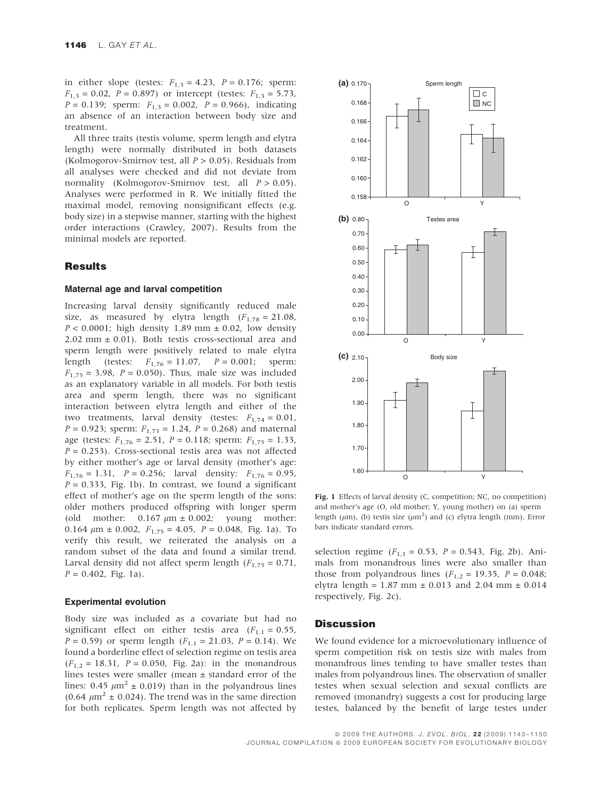in either slope (testes:  $F_{1,3} = 4.23$ ,  $P = 0.176$ ; sperm:  $F_{1,3} = 0.02$ ,  $P = 0.897$ ) or intercept (testes:  $F_{1,3} = 5.73$ ,  $P = 0.139$ ; sperm:  $F_{1,3} = 0.002$ ,  $P = 0.966$ ), indicating an absence of an interaction between body size and treatment.

All three traits (testis volume, sperm length and elytra length) were normally distributed in both datasets (Kolmogorov-Smirnov test, all  $P > 0.05$ ). Residuals from all analyses were checked and did not deviate from normality (Kolmogorov-Smirnov test, all  $P > 0.05$ ). Analyses were performed in R. We initially fitted the maximal model, removing nonsignificant effects (e.g. body size) in a stepwise manner, starting with the highest order interactions (Crawley, 2007). Results from the minimal models are reported.

## **Results**

#### Maternal age and larval competition

Increasing larval density significantly reduced male size, as measured by elytra length  $(F_{1,78} = 21.08$ ,  $P < 0.0001$ ; high density 1.89 mm  $\pm$  0.02, low density  $2.02$  mm  $\pm$  0.01). Both testis cross-sectional area and sperm length were positively related to male elytra length (testes:  $F_{1,76} = 11.07$ ,  $P = 0.001$ ; sperm:  $F_{1,75} = 3.98$ ,  $P = 0.050$ ). Thus, male size was included as an explanatory variable in all models. For both testis area and sperm length, there was no significant interaction between elytra length and either of the two treatments, larval density (testes:  $F_{1,74} = 0.01$ ,  $P = 0.923$ ; sperm:  $F_{1,73} = 1.24$ ,  $P = 0.268$ ) and maternal age (testes:  $F_{1,76} = 2.51$ ,  $P = 0.118$ ; sperm:  $F_{1,75} = 1.33$ ,  $P = 0.253$ ). Cross-sectional testis area was not affected by either mother's age or larval density (mother's age:  $F_{1,76} = 1.31$ ,  $P = 0.256$ ; larval density:  $F_{1,76} = 0.95$ ,  $P = 0.333$ , Fig. 1b). In contrast, we found a significant effect of mother's age on the sperm length of the sons: older mothers produced offspring with longer sperm (old mother:  $0.167 \mu m \pm 0.002$ ; young mother: 0.164  $\mu$ m ± 0.002,  $F_{1,75} = 4.05$ ,  $P = 0.048$ , Fig. 1a). To verify this result, we reiterated the analysis on a random subset of the data and found a similar trend. Larval density did not affect sperm length ( $F_{1,75} = 0.71$ ,  $P = 0.402$ , Fig. 1a).

#### Experimental evolution

Body size was included as a covariate but had no significant effect on either testis area  $(F_{1,1} = 0.55,$  $P = 0.59$  or sperm length  $(F_{1,1} = 21.03, P = 0.14)$ . We found a borderline effect of selection regime on testis area  $(F_{1,2} = 18.31, P = 0.050, Fig. 2a)$ : in the monandrous lines testes were smaller (mean  $\pm$  standard error of the lines: 0.45  $\mu$ m<sup>2</sup> ± 0.019) than in the polyandrous lines  $(0.64 \mu m^2 \pm 0.024)$ . The trend was in the same direction for both replicates. Sperm length was not affected by



Fig. 1 Effects of larval density (C, competition; NC, no competition) and mother's age (O, old mother; Y, young mother) on (a) sperm length ( $\mu$ m), (b) testis size ( $\mu$ m<sup>2</sup>) and (c) elytra length (mm). Error bars indicate standard errors.

selection regime ( $F_{1,1} = 0.53$ ,  $P = 0.543$ , Fig. 2b). Animals from monandrous lines were also smaller than those from polyandrous lines  $(F_{1,2} = 19.35, P = 0.048;$ elytra length =  $1.87$  mm  $\pm$  0.013 and 2.04 mm  $\pm$  0.014 respectively, Fig. 2c).

## **Discussion**

We found evidence for a microevolutionary influence of sperm competition risk on testis size with males from monandrous lines tending to have smaller testes than males from polyandrous lines. The observation of smaller testes when sexual selection and sexual conflicts are removed (monandry) suggests a cost for producing large testes, balanced by the benefit of large testes under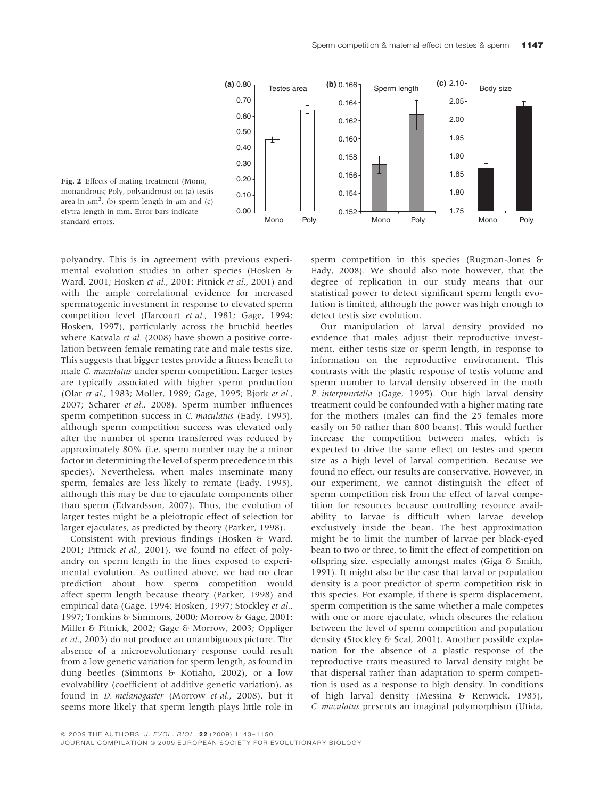

Fig. 2 Effects of mating treatment (Mono, monandrous; Poly, polyandrous) on (a) testis area in  $\mu$ m<sup>2</sup>, (b) sperm length in  $\mu$ m and (c) elytra length in mm. Error bars indicate standard errors.

polyandry. This is in agreement with previous experimental evolution studies in other species (Hosken & Ward, 2001; Hosken et al., 2001; Pitnick et al., 2001) and with the ample correlational evidence for increased spermatogenic investment in response to elevated sperm competition level (Harcourt et al., 1981; Gage, 1994; Hosken, 1997), particularly across the bruchid beetles where Katvala et al. (2008) have shown a positive correlation between female remating rate and male testis size. This suggests that bigger testes provide a fitness benefit to male C. maculatus under sperm competition. Larger testes are typically associated with higher sperm production (Olar et al., 1983; Moller, 1989; Gage, 1995; Bjork et al., 2007; Scharer et al., 2008). Sperm number influences sperm competition success in C. maculatus (Eady, 1995), although sperm competition success was elevated only after the number of sperm transferred was reduced by approximately 80% (i.e. sperm number may be a minor factor in determining the level of sperm precedence in this species). Nevertheless, when males inseminate many sperm, females are less likely to remate (Eady, 1995), although this may be due to ejaculate components other than sperm (Edvardsson, 2007). Thus, the evolution of larger testes might be a pleiotropic effect of selection for larger ejaculates, as predicted by theory (Parker, 1998).

Consistent with previous findings (Hosken & Ward, 2001; Pitnick et al., 2001), we found no effect of polyandry on sperm length in the lines exposed to experimental evolution. As outlined above, we had no clear prediction about how sperm competition would affect sperm length because theory (Parker, 1998) and empirical data (Gage, 1994; Hosken, 1997; Stockley et al., 1997; Tomkins & Simmons, 2000; Morrow & Gage, 2001; Miller & Pitnick, 2002; Gage & Morrow, 2003; Oppliger et al., 2003) do not produce an unambiguous picture. The absence of a microevolutionary response could result from a low genetic variation for sperm length, as found in dung beetles (Simmons & Kotiaho, 2002), or a low evolvability (coefficient of additive genetic variation), as found in D. melanogaster (Morrow et al., 2008), but it seems more likely that sperm length plays little role in sperm competition in this species (Rugman-Jones & Eady, 2008). We should also note however, that the degree of replication in our study means that our statistical power to detect significant sperm length evolution is limited, although the power was high enough to detect testis size evolution.

Our manipulation of larval density provided no evidence that males adjust their reproductive investment, either testis size or sperm length, in response to information on the reproductive environment. This contrasts with the plastic response of testis volume and sperm number to larval density observed in the moth P. interpunctella (Gage, 1995). Our high larval density treatment could be confounded with a higher mating rate for the mothers (males can find the 25 females more easily on 50 rather than 800 beans). This would further increase the competition between males, which is expected to drive the same effect on testes and sperm size as a high level of larval competition. Because we found no effect, our results are conservative. However, in our experiment, we cannot distinguish the effect of sperm competition risk from the effect of larval competition for resources because controlling resource availability to larvae is difficult when larvae develop exclusively inside the bean. The best approximation might be to limit the number of larvae per black-eyed bean to two or three, to limit the effect of competition on offspring size, especially amongst males (Giga & Smith, 1991). It might also be the case that larval or population density is a poor predictor of sperm competition risk in this species. For example, if there is sperm displacement, sperm competition is the same whether a male competes with one or more ejaculate, which obscures the relation between the level of sperm competition and population density (Stockley & Seal, 2001). Another possible explanation for the absence of a plastic response of the reproductive traits measured to larval density might be that dispersal rather than adaptation to sperm competition is used as a response to high density. In conditions of high larval density (Messina & Renwick, 1985), C. maculatus presents an imaginal polymorphism (Utida,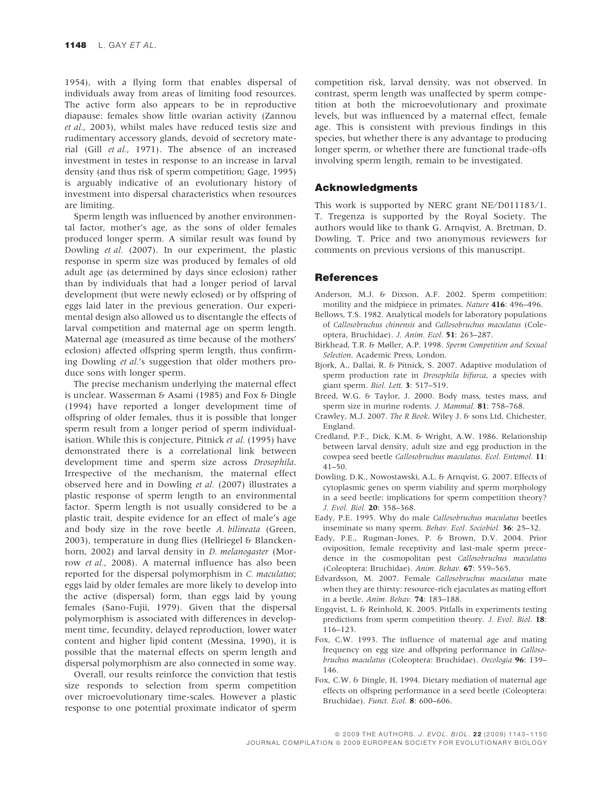1954), with a flying form that enables dispersal of individuals away from areas of limiting food resources. The active form also appears to be in reproductive diapause: females show little ovarian activity (Zannou et al., 2003), whilst males have reduced testis size and rudimentary accessory glands, devoid of secretory material (Gill et al., 1971). The absence of an increased investment in testes in response to an increase in larval density (and thus risk of sperm competition; Gage, 1995) is arguably indicative of an evolutionary history of investment into dispersal characteristics when resources are limiting.

Sperm length was influenced by another environmental factor, mother's age, as the sons of older females produced longer sperm. A similar result was found by Dowling et al. (2007). In our experiment, the plastic response in sperm size was produced by females of old adult age (as determined by days since eclosion) rather than by individuals that had a longer period of larval development (but were newly eclosed) or by offspring of eggs laid later in the previous generation. Our experimental design also allowed us to disentangle the effects of larval competition and maternal age on sperm length. Maternal age (measured as time because of the mothers' eclosion) affected offspring sperm length, thus confirming Dowling et al.'s suggestion that older mothers produce sons with longer sperm.

The precise mechanism underlying the maternal effect is unclear. Wasserman & Asami (1985) and Fox & Dingle (1994) have reported a longer development time of offspring of older females, thus it is possible that longer sperm result from a longer period of sperm individualisation. While this is conjecture, Pitnick et al. (1995) have demonstrated there is a correlational link between development time and sperm size across Drosophila. Irrespective of the mechanism, the maternal effect observed here and in Dowling et al. (2007) illustrates a plastic response of sperm length to an environmental factor. Sperm length is not usually considered to be a plastic trait, despite evidence for an effect of male's age and body size in the rove beetle A. bilineata (Green, 2003), temperature in dung flies (Hellriegel & Blanckenhorn, 2002) and larval density in *D. melanogaster* (Morrow et al., 2008). A maternal influence has also been reported for the dispersal polymorphism in C. maculatus; eggs laid by older females are more likely to develop into the active (dispersal) form, than eggs laid by young females (Sano-Fujii, 1979). Given that the dispersal polymorphism is associated with differences in development time, fecundity, delayed reproduction, lower water content and higher lipid content (Messina, 1990), it is possible that the maternal effects on sperm length and dispersal polymorphism are also connected in some way.

Overall, our results reinforce the conviction that testis size responds to selection from sperm competition over microevolutionary time-scales. However a plastic response to one potential proximate indicator of sperm competition risk, larval density, was not observed. In contrast, sperm length was unaffected by sperm competition at both the microevolutionary and proximate levels, but was influenced by a maternal effect, female age. This is consistent with previous findings in this species, but whether there is any advantage to producing longer sperm, or whether there are functional trade-offs involving sperm length, remain to be investigated.

## Acknowledgments

This work is supported by NERC grant NE/D011183/1. T. Tregenza is supported by the Royal Society. The authors would like to thank G. Arnqvist, A. Bretman, D. Dowling, T. Price and two anonymous reviewers for comments on previous versions of this manuscript.

#### References

- Anderson, M.J. & Dixson, A.F. 2002. Sperm competition: motility and the midpiece in primates. Nature 416: 496–496.
- Bellows, T.S. 1982. Analytical models for laboratory populations of Callosobruchus chinensis and Callosobruchus maculatus (Coleoptera, Bruchidae). J. Anim. Ecol. 51: 263–287.
- Birkhead, T.R. & Møller, A.P. 1998. Sperm Competition and Sexual Selection. Academic Press, London.
- Bjork, A., Dallai, R. & Pitnick, S. 2007. Adaptive modulation of sperm production rate in *Drosophila bifurca*, a species with giant sperm. Biol. Lett. 3: 517–519.
- Breed, W.G. & Taylor, J. 2000. Body mass, testes mass, and sperm size in murine rodents. J. Mammal. 81: 758–768.
- Crawley, M.J. 2007. The R Book. Wiley J. & sons Ltd, Chichester, England.
- Credland, P.F., Dick, K.M. & Wright, A.W. 1986. Relationship between larval density, adult size and egg production in the cowpea seed beetle Callosobruchus maculatus. Ecol. Entomol. 11: 41–50.
- Dowling, D.K., Nowostawski, A.L. & Arnqvist, G. 2007. Effects of cytoplasmic genes on sperm viability and sperm morphology in a seed beetle: implications for sperm competition theory? J. Evol. Biol. 20: 358–368.
- Eady, P.E. 1995. Why do male Callosobruchus maculatus beetles inseminate so many sperm. Behav. Ecol. Sociobiol. 36: 25–32.
- Eady, P.E., Rugman-Jones, P. & Brown, D.V. 2004. Prior oviposition, female receptivity and last-male sperm precedence in the cosmopolitan pest Callosobruchus maculatus (Coleoptera: Bruchidae). Anim. Behav. 67: 559–565.
- Edvardsson, M. 2007. Female Callosobruchus maculatus mate when they are thirsty: resource-rich ejaculates as mating effort in a beetle. Anim. Behav. 74: 183–188.
- Engqvist, L. & Reinhold, K. 2005. Pitfalls in experiments testing predictions from sperm competition theory. J. Evol. Biol. 18: 116–123.
- Fox, C.W. 1993. The influence of maternal age and mating frequency on egg size and offspring performance in Callosobruchus maculatus (Coleoptera: Bruchidae). Oecologia 96: 139– 146.
- Fox, C.W. & Dingle, H. 1994. Dietary mediation of maternal age effects on offspring performance in a seed beetle (Coleoptera: Bruchidae). Funct. Ecol. 8: 600–606.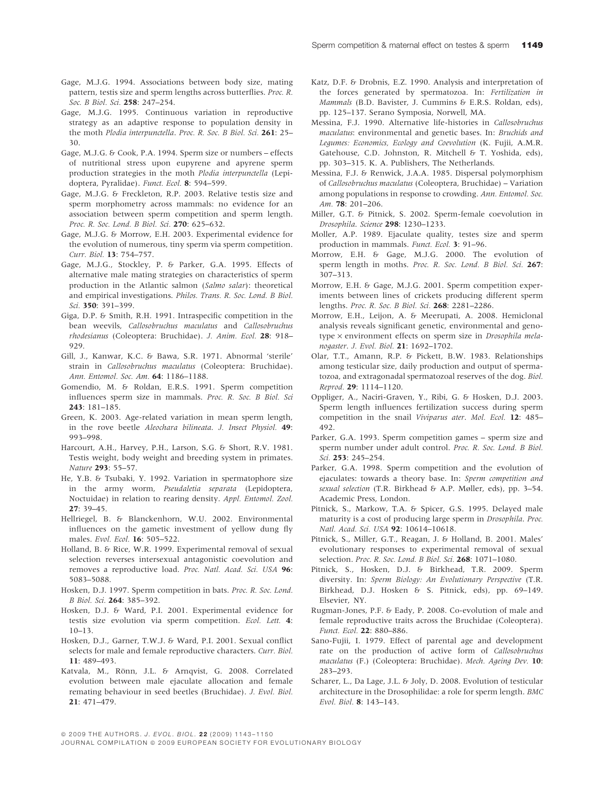- Gage, M.J.G. 1994. Associations between body size, mating pattern, testis size and sperm lengths across butterflies. Proc. R. Soc. B Biol. Sci. 258: 247-254.
- Gage, M.J.G. 1995. Continuous variation in reproductive strategy as an adaptive response to population density in the moth Plodia interpunctella. Proc. R. Soc. B Biol. Sci. 261: 25-30.
- Gage, M.J.G. & Cook, P.A. 1994. Sperm size or numbers effects of nutritional stress upon eupyrene and apyrene sperm production strategies in the moth Plodia interpunctella (Lepidoptera, Pyralidae). Funct. Ecol. 8: 594-599.
- Gage, M.J.G. & Freckleton, R.P. 2003. Relative testis size and sperm morphometry across mammals: no evidence for an association between sperm competition and sperm length. Proc. R. Soc. Lond. B Biol. Sci. 270: 625–632.
- Gage, M.J.G. & Morrow, E.H. 2003. Experimental evidence for the evolution of numerous, tiny sperm via sperm competition. Curr. Biol. 13: 754–757.
- Gage, M.J.G., Stockley, P. & Parker, G.A. 1995. Effects of alternative male mating strategies on characteristics of sperm production in the Atlantic salmon (Salmo salar): theoretical and empirical investigations. Philos. Trans. R. Soc. Lond. B Biol. Sci. 350: 391-399.
- Giga, D.P. & Smith, R.H. 1991. Intraspecific competition in the bean weevils, Callosobruchus maculatus and Callosobruchus rhodesianus (Coleoptera: Bruchidae). J. Anim. Ecol. 28: 918– 929.
- Gill, J., Kanwar, K.C. & Bawa, S.R. 1971. Abnormal 'sterile' strain in Callosobruchus maculatus (Coleoptera: Bruchidae). Ann. Entomol. Soc. Am. 64: 1186–1188.
- Gomendio, M. & Roldan, E.R.S. 1991. Sperm competition influences sperm size in mammals. Proc. R. Soc. B Biol. Sci 243: 181–185.
- Green, K. 2003. Age-related variation in mean sperm length, in the rove beetle Aleochara bilineata. J. Insect Physiol. 49: 993–998.
- Harcourt, A.H., Harvey, P.H., Larson, S.G. & Short, R.V. 1981. Testis weight, body weight and breeding system in primates. Nature 293: 55–57.
- He, Y.B. & Tsubaki, Y. 1992. Variation in spermatophore size in the army worm, Pseudaletia separata (Lepidoptera, Noctuidae) in relation to rearing density. Appl. Entomol. Zool. 27: 39–45.
- Hellriegel, B. & Blanckenhorn, W.U. 2002. Environmental influences on the gametic investment of yellow dung fly males. Evol. Ecol. 16: 505–522.
- Holland, B. & Rice, W.R. 1999. Experimental removal of sexual selection reverses intersexual antagonistic coevolution and removes a reproductive load. Proc. Natl. Acad. Sci. USA 96: 5083–5088.
- Hosken, D.J. 1997. Sperm competition in bats. Proc. R. Soc. Lond. B Biol. Sci. 264: 385–392.
- Hosken, D.J. & Ward, P.I. 2001. Experimental evidence for testis size evolution via sperm competition. Ecol. Lett. 4: 10–13.
- Hosken, D.J., Garner, T.W.J. & Ward, P.I. 2001. Sexual conflict selects for male and female reproductive characters. Curr. Biol. 11: 489–493.
- Katvala, M., Rönn, J.L. & Arnqvist, G. 2008. Correlated evolution between male ejaculate allocation and female remating behaviour in seed beetles (Bruchidae). J. Evol. Biol. 21: 471–479.
- Katz, D.F. & Drobnis, E.Z. 1990. Analysis and interpretation of the forces generated by spermatozoa. In: Fertilization in Mammals (B.D. Bavister, J. Cummins & E.R.S. Roldan, eds), pp. 125–137. Serano Symposia, Norwell, MA.
- Messina, F.J. 1990. Alternative life-histories in Callosobruchus maculatus: environmental and genetic bases. In: Bruchids and Legumes: Economics, Ecology and Coevolution (K. Fujii, A.M.R. Gatehouse, C.D. Johnston, R. Mitchell & T. Yoshida, eds), pp. 303–315. K. A. Publishers, The Netherlands.
- Messina, F.J. & Renwick, J.A.A. 1985. Dispersal polymorphism of Callosobruchus maculatus (Coleoptera, Bruchidae) – Variation among populations in response to crowding. Ann. Entomol. Soc. Am. 78: 201–206.
- Miller, G.T. & Pitnick, S. 2002. Sperm-female coevolution in Drosophila. Science 298: 1230–1233.
- Moller, A.P. 1989. Ejaculate quality, testes size and sperm production in mammals. Funct. Ecol. 3: 91–96.
- Morrow, E.H. & Gage, M.J.G. 2000. The evolution of sperm length in moths. Proc. R. Soc. Lond. B Biol. Sci. 267: 307–313.
- Morrow, E.H. & Gage, M.J.G. 2001. Sperm competition experiments between lines of crickets producing different sperm lengths. Proc. R. Soc. B Biol. Sci. 268: 2281–2286.
- Morrow, E.H., Leijon, A. & Meerupati, A. 2008. Hemiclonal analysis reveals significant genetic, environmental and genotype  $\times$  environment effects on sperm size in *Drosophila mela*nogaster. J. Evol. Biol. 21: 1692–1702.
- Olar, T.T., Amann, R.P. & Pickett, B.W. 1983. Relationships among testicular size, daily production and output of spermatozoa, and extragonadal spermatozoal reserves of the dog. Biol. Reprod. 29: 1114–1120.
- Oppliger, A., Naciri-Graven, Y., Ribi, G. & Hosken, D.J. 2003. Sperm length influences fertilization success during sperm competition in the snail Viviparus ater. Mol. Ecol. 12: 485– 492.
- Parker, G.A. 1993. Sperm competition games sperm size and sperm number under adult control. Proc. R. Soc. Lond. B Biol.  $Sci$  253: 245–254.
- Parker, G.A. 1998. Sperm competition and the evolution of ejaculates: towards a theory base. In: Sperm competition and sexual selection (T.R. Birkhead & A.P. Møller, eds), pp. 3–54. Academic Press, London.
- Pitnick, S., Markow, T.A. & Spicer, G.S. 1995. Delayed male maturity is a cost of producing large sperm in Drosophila. Proc. Natl. Acad. Sci. USA 92: 10614–10618.
- Pitnick, S., Miller, G.T., Reagan, J. & Holland, B. 2001. Males' evolutionary responses to experimental removal of sexual selection. Proc. R. Soc. Lond. B Biol. Sci. 268: 1071-1080.
- Pitnick, S., Hosken, D.J. & Birkhead, T.R. 2009. Sperm diversity. In: Sperm Biology: An Evolutionary Perspective (T.R. Birkhead, D.J. Hosken & S. Pitnick, eds), pp. 69–149. Elsevier, NY.
- Rugman-Jones, P.F. & Eady, P. 2008. Co-evolution of male and female reproductive traits across the Bruchidae (Coleoptera). Funct. Ecol. 22: 880–886.
- Sano-Fujii, I. 1979. Effect of parental age and development rate on the production of active form of Callosobruchus maculatus (F.) (Coleoptera: Bruchidae). Mech. Ageing Dev. 10: 283–293.
- Scharer, L., Da Lage, J.L. & Joly, D. 2008. Evolution of testicular architecture in the Drosophilidae: a role for sperm length. BMC Evol. Biol. 8: 143–143.

<sup>© 2009</sup> THE AUTHORS. J. EVOL. BIOL. 22 (2009) 1143-1150

JOURNAL COMPILATION © 2009 EUROPEAN SOCIETY FOR EVOLUTIONARY BIOLOGY